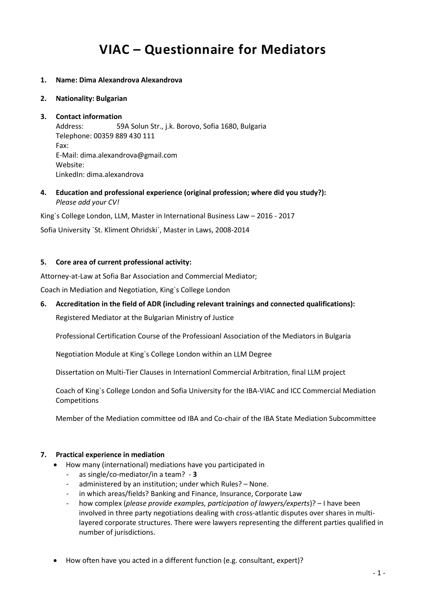# **VIAC – Questionnaire for Mediators**

- **1. Name: Dima Alexandrova Alexandrova**
- **2. Nationality: Bulgarian**

# **3. Contact information** Address: 59A Solun Str., j.k. Borovo, Sofia 1680, Bulgaria Telephone: 00359 889 430 111 Fax: E-Mail: dima.alexandrova@gmail.com Website: LinkedIn: dima.alexandrova

**4. Education and professional experience (original profession; where did you study?):** *Please add your CV!*

King`s College London, LLM, Master in International Business Law – 2016 - 2017

Sofia University `St. Kliment Ohridski`, Master in Laws, 2008-2014

#### **5. Core area of current professional activity:**

Attorney-at-Law at Sofia Bar Association and Commercial Mediator;

Coach in Mediation and Negotiation, King`s College London

# **6. Accreditation in the field of ADR (including relevant trainings and connected qualifications):**

Registered Mediator at the Bulgarian Ministry of Justice

Professional Certification Course of the Professioanl Association of the Mediators in Bulgaria

Negotiation Module at King`s College London within an LLM Degree

Dissertation on Multi-Tier Clauses in Internationl Commercial Arbitration, final LLM project

Coach of King`s College London and Sofia University for the IBA-VIAC and ICC Commercial Mediation Competitions

Member of the Mediation committee od IBA and Co-chair of the IBA State Mediation Subcommittee

#### **7. Practical experience in mediation**

- How many (international) mediations have you participated in
	- as single/co-mediator/in a team? **3**
	- administered by an institution; under which Rules? None.
	- in which areas/fields? Banking and Finance, Insurance, Corporate Law
	- how complex (*please provide examples, participation of lawyers/experts*)? I have been involved in three party negotiations dealing with cross-atlantic disputes over shares in multilayered corporate structures. There were lawyers representing the different parties qualified in number of jurisdictions.
- How often have you acted in a different function (e.g. consultant, expert)?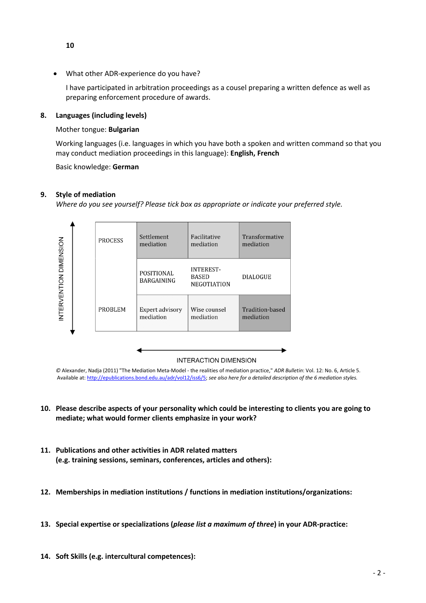What other ADR-experience do you have?

I have participated in arbitration proceedings as a cousel preparing a written defence as well as preparing enforcement procedure of awards.

## **8. Languages (including levels)**

#### Mother tongue: **Bulgarian**

Working languages (i.e. languages in which you have both a spoken and written command so that you may conduct mediation proceedings in this language): **English, French**

Basic knowledge: **German**

#### **9. Style of mediation**

*Where do you see yourself? Please tick box as appropriate or indicate your preferred style.*



*©* Alexander, Nadja (2011) "The Mediation Meta-Model - the realities of mediation practice," *ADR Bulletin*: Vol. 12: No. 6, Article 5. Available at[: http://epublications.bond.edu.au/adr/vol12/iss6/5;](http://epublications.bond.edu.au/adr/vol12/iss6/5) *see also here for a detailed description of the 6 mediation styles.*

- **10. Please describe aspects of your personality which could be interesting to clients you are going to mediate; what would former clients emphasize in your work?**
- **11. Publications and other activities in ADR related matters (e.g. training sessions, seminars, conferences, articles and others):**
- **12. Memberships in mediation institutions / functions in mediation institutions/organizations:**
- **13. Special expertise or specializations (***please list a maximum of three***) in your ADR-practice:**
- **14. Soft Skills (e.g. intercultural competences):**